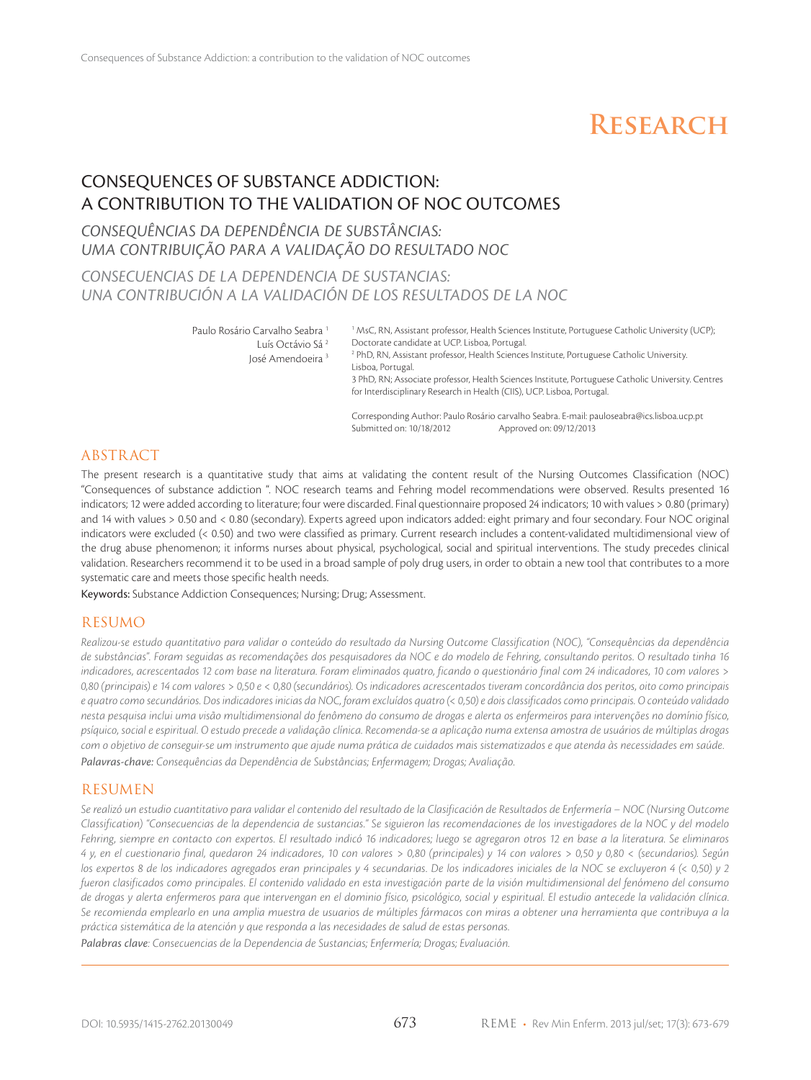# **Research**

# Consequences of Substance Addiction: a contribution to the validation of NOC outcomes

## *Consequências da dependência de substâncias: uma contribuição para a validação do resultado NOC*

## *Consecuencias de la dependencia de sustancias: Una contribución a la validación de los resultados de la NOC*

Paulo Rosário Carvalho Seabra<sup>1</sup>

Luís Octávio Sá 2 José Amendoeira 3

<sup>1</sup> MsC, RN, Assistant professor, Health Sciences Institute, Portuguese Catholic University (UCP); Doctorate candidate at UCP. Lisboa, Portugal.

2 PhD, RN, Assistant professor, Health Sciences Institute, Portuguese Catholic University. Lisboa, Portugal.

3 PhD, RN; Associate professor, Health Sciences Institute, Portuguese Catholic University. Centres for Interdisciplinary Research in Health (CIIS), UCP. Lisboa, Portugal.

Corresponding Author: Paulo Rosário carvalho Seabra. E-mail: pauloseabra@ics.lisboa.ucp.pt Submitted on: 10/18/2012

#### ABSTRACT

The present research is a quantitative study that aims at validating the content result of the Nursing Outcomes Classification (NOC) "Consequences of substance addiction ". NOC research teams and Fehring model recommendations were observed. Results presented 16 indicators; 12 were added according to literature; four were discarded. Final questionnaire proposed 24 indicators; 10 with values > 0.80 (primary) and 14 with values > 0.50 and < 0.80 (secondary). Experts agreed upon indicators added: eight primary and four secondary. Four NOC original indicators were excluded (< 0.50) and two were classified as primary. Current research includes a content-validated multidimensional view of the drug abuse phenomenon; it informs nurses about physical, psychological, social and spiritual interventions. The study precedes clinical validation. Researchers recommend it to be used in a broad sample of poly drug users, in order to obtain a new tool that contributes to a more systematic care and meets those specific health needs.

Keywords: Substance Addiction Consequences; Nursing; Drug; Assessment.

#### RESUMO

*Realizou-se estudo quantitativo para validar o conteúdo do resultado da Nursing Outcome Classification (NOC), "Consequências da dependência de substâncias". Foram seguidas as recomendações dos pesquisadores da NOC e do modelo de Fehring, consultando peritos. O resultado tinha 16 indicadores, acrescentados 12 com base na literatura. Foram eliminados quatro, ficando o questionário final com 24 indicadores, 10 com valores > 0,80 (principais) e 14 com valores > 0,50 e < 0,80 (secundários). Os indicadores acrescentados tiveram concordância dos peritos, oito como principais e quatro como secundários. Dos indicadores inicias da NOC, foram excluídos quatro (< 0,50) e dois classificados como principais. O conteúdo validado nesta pesquisa inclui uma visão multidimensional do fenômeno do consumo de drogas e alerta os enfermeiros para intervenções no domínio físico, psíquico, social e espiritual. O estudo precede a validação clínica. Recomenda-se a aplicação numa extensa amostra de usuários de múltiplas drogas com o objetivo de conseguir-se um instrumento que ajude numa prática de cuidados mais sistematizados e que atenda às necessidades em saúde. Palavras-chave: Consequências da Dependência de Substâncias; Enfermagem; Drogas; Avaliação.*

#### RESUMEN

*Se realizó un estudio cuantitativo para validar el contenido del resultado de la Clasificación de Resultados de Enfermería – NOC (Nursing Outcome Classification) "Consecuencias de la dependencia de sustancias." Se siguieron las recomendaciones de los investigadores de la NOC y del modelo Fehring, siempre en contacto con expertos. El resultado indicó 16 indicadores; luego se agregaron otros 12 en base a la literatura. Se eliminaros 4 y, en el cuestionario final, quedaron 24 indicadores, 10 con valores > 0,80 (principales) y 14 con valores > 0,50 y 0,80 < (secundarios). Según los expertos 8 de los indicadores agregados eran principales y 4 secundarias. De los indicadores iniciales de la NOC se excluyeron 4 (< 0,50) y 2 fueron clasificados como principales. El contenido validado en esta investigación parte de la visión multidimensional del fenómeno del consumo de drogas y alerta enfermeros para que intervengan en el dominio físico, psicológico, social y espiritual. El estudio antecede la validación clínica. Se recomienda emplearlo en una amplia muestra de usuarios de múltiples fármacos con miras a obtener una herramienta que contribuya a la práctica sistemática de la atención y que responda a las necesidades de salud de estas personas.*

*Palabras clave: Consecuencias de la Dependencia de Sustancias; Enfermería; Drogas; Evaluación.*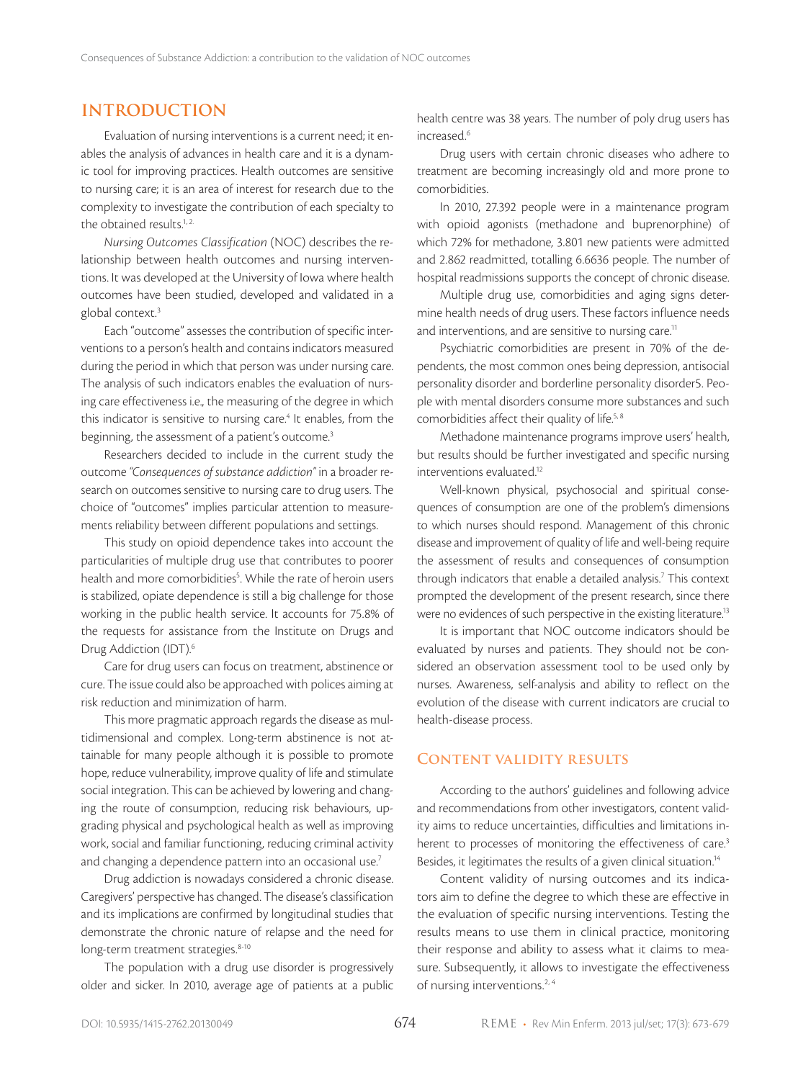## **Introduction**

Evaluation of nursing interventions is a current need; it enables the analysis of advances in health care and it is a dynamic tool for improving practices. Health outcomes are sensitive to nursing care; it is an area of interest for research due to the complexity to investigate the contribution of each specialty to the obtained results.<sup>1, 2.</sup>

*Nursing Outcomes Classification* (NOC) describes the relationship between health outcomes and nursing interventions. It was developed at the University of Iowa where health outcomes have been studied, developed and validated in a global context.<sup>3</sup>

Each "outcome" assesses the contribution of specific interventions to a person's health and contains indicators measured during the period in which that person was under nursing care. The analysis of such indicators enables the evaluation of nursing care effectiveness i.e., the measuring of the degree in which this indicator is sensitive to nursing care.<sup>4</sup> It enables, from the beginning, the assessment of a patient's outcome.<sup>3</sup>

Researchers decided to include in the current study the outcome *"Consequences of substance addiction"* in a broader research on outcomes sensitive to nursing care to drug users. The choice of "outcomes" implies particular attention to measurements reliability between different populations and settings.

This study on opioid dependence takes into account the particularities of multiple drug use that contributes to poorer health and more comorbidities<sup>5</sup>. While the rate of heroin users is stabilized, opiate dependence is still a big challenge for those working in the public health service. It accounts for 75.8% of the requests for assistance from the Institute on Drugs and Drug Addiction (IDT).<sup>6</sup>

Care for drug users can focus on treatment, abstinence or cure. The issue could also be approached with polices aiming at risk reduction and minimization of harm.

This more pragmatic approach regards the disease as multidimensional and complex. Long-term abstinence is not attainable for many people although it is possible to promote hope, reduce vulnerability, improve quality of life and stimulate social integration. This can be achieved by lowering and changing the route of consumption, reducing risk behaviours, upgrading physical and psychological health as well as improving work, social and familiar functioning, reducing criminal activity and changing a dependence pattern into an occasional use.<sup>7</sup>

Drug addiction is nowadays considered a chronic disease. Caregivers' perspective has changed. The disease's classification and its implications are confirmed by longitudinal studies that demonstrate the chronic nature of relapse and the need for long-term treatment strategies.<sup>8-10</sup>

The population with a drug use disorder is progressively older and sicker. In 2010, average age of patients at a public

health centre was 38 years. The number of poly drug users has increased.<sup>6</sup>

Drug users with certain chronic diseases who adhere to treatment are becoming increasingly old and more prone to comorbidities.

In 2010, 27.392 people were in a maintenance program with opioid agonists (methadone and buprenorphine) of which 72% for methadone, 3.801 new patients were admitted and 2.862 readmitted, totalling 6.6636 people. The number of hospital readmissions supports the concept of chronic disease.

Multiple drug use, comorbidities and aging signs determine health needs of drug users. These factors influence needs and interventions, and are sensitive to nursing care.<sup>11</sup>

Psychiatric comorbidities are present in 70% of the dependents, the most common ones being depression, antisocial personality disorder and borderline personality disorder5. People with mental disorders consume more substances and such comorbidities affect their quality of life.<sup>5, 8</sup>

Methadone maintenance programs improve users' health, but results should be further investigated and specific nursing interventions evaluated.12

Well-known physical, psychosocial and spiritual consequences of consumption are one of the problem's dimensions to which nurses should respond. Management of this chronic disease and improvement of quality of life and well-being require the assessment of results and consequences of consumption through indicators that enable a detailed analysis.<sup>7</sup> This context prompted the development of the present research, since there were no evidences of such perspective in the existing literature.13

It is important that NOC outcome indicators should be evaluated by nurses and patients. They should not be considered an observation assessment tool to be used only by nurses. Awareness, self-analysis and ability to reflect on the evolution of the disease with current indicators are crucial to health-disease process.

#### **Content validity results**

According to the authors' guidelines and following advice and recommendations from other investigators, content validity aims to reduce uncertainties, difficulties and limitations inherent to processes of monitoring the effectiveness of care.<sup>3</sup> Besides, it legitimates the results of a given clinical situation.14

Content validity of nursing outcomes and its indicators aim to define the degree to which these are effective in the evaluation of specific nursing interventions. Testing the results means to use them in clinical practice, monitoring their response and ability to assess what it claims to measure. Subsequently, it allows to investigate the effectiveness of nursing interventions.<sup>2, 4</sup>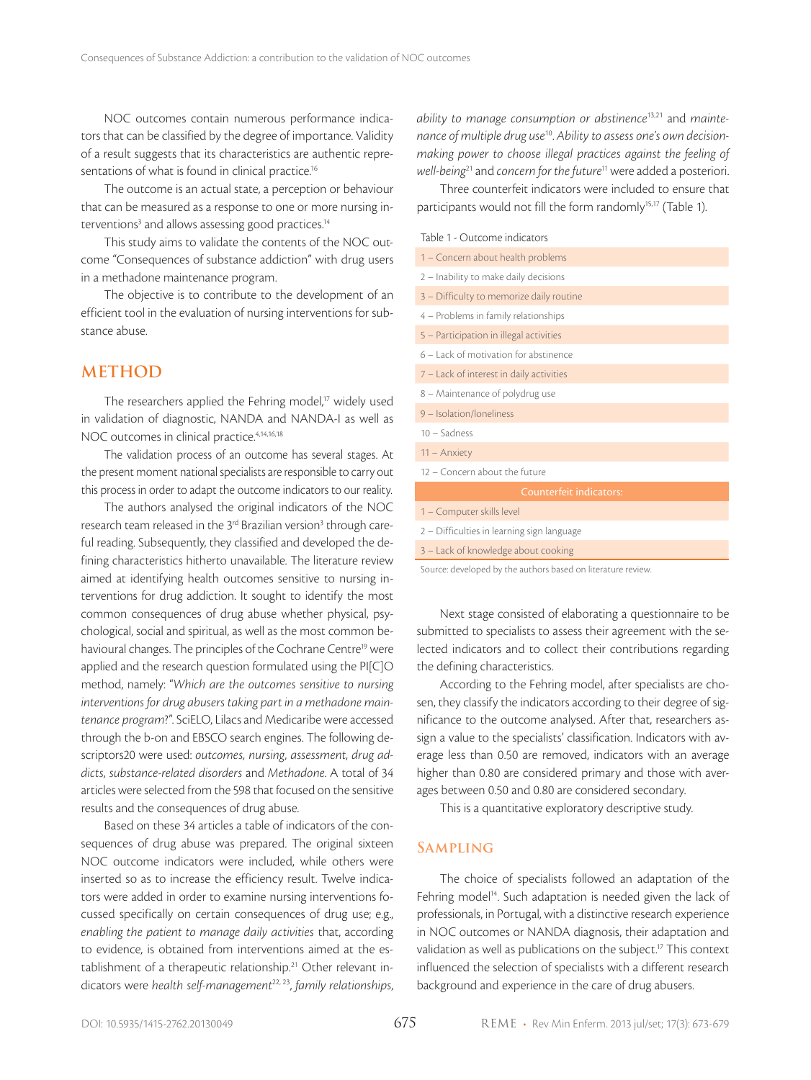NOC outcomes contain numerous performance indicators that can be classified by the degree of importance. Validity of a result suggests that its characteristics are authentic representations of what is found in clinical practice.<sup>16</sup>

The outcome is an actual state, a perception or behaviour that can be measured as a response to one or more nursing interventions<sup>3</sup> and allows assessing good practices.<sup>14</sup>

This study aims to validate the contents of the NOC outcome "Consequences of substance addiction" with drug users in a methadone maintenance program.

The objective is to contribute to the development of an efficient tool in the evaluation of nursing interventions for substance abuse.

#### **METHOD**

The researchers applied the Fehring model,<sup>17</sup> widely used in validation of diagnostic, NANDA and NANDA-I as well as NOC outcomes in clinical practice.4,14,16,18

The validation process of an outcome has several stages. At the present moment national specialists are responsible to carry out this process in order to adapt the outcome indicators to our reality.

The authors analysed the original indicators of the NOC research team released in the 3<sup>rd</sup> Brazilian version<sup>3</sup> through careful reading. Subsequently, they classified and developed the defining characteristics hitherto unavailable. The literature review aimed at identifying health outcomes sensitive to nursing interventions for drug addiction. It sought to identify the most common consequences of drug abuse whether physical, psychological, social and spiritual, as well as the most common behavioural changes. The principles of the Cochrane Centre<sup>19</sup> were applied and the research question formulated using the PI[C]O method, namely: "*Which are the outcomes sensitive to nursing interventions for drug abusers taking part in a methadone maintenance program*?". SciELO, Lilacs and Medicaribe were accessed through the b-on and EBSCO search engines. The following descriptors20 were used: *outcomes, nursing, assessment, drug addicts, substance-related disorders* and *Methadone*. A total of 34 articles were selected from the 598 that focused on the sensitive results and the consequences of drug abuse.

Based on these 34 articles a table of indicators of the consequences of drug abuse was prepared. The original sixteen NOC outcome indicators were included, while others were inserted so as to increase the efficiency result. Twelve indicators were added in order to examine nursing interventions focussed specifically on certain consequences of drug use; e.g., *enabling the patient to manage daily activities* that, according to evidence, is obtained from interventions aimed at the establishment of a therapeutic relationship.<sup>21</sup> Other relevant indicators were *health self-management*22, 23, *family relationships*,

*ability to manage consumption or abstinence*13,21 and *maintenance of multiple drug use*10. *Ability to assess one's own decisionmaking power to choose illegal practices against the feeling of well-being*<sup>21</sup> and *concern for the future<sup>11</sup>* were added a posteriori.

Three counterfeit indicators were included to ensure that participants would not fill the form randomly<sup>15,17</sup> (Table 1).

|  |  |  | Table 1 - Outcome indicators |  |  |
|--|--|--|------------------------------|--|--|
|--|--|--|------------------------------|--|--|

| 1 - Concern about health problems          |  |  |  |  |  |  |  |
|--------------------------------------------|--|--|--|--|--|--|--|
| 2 - Inability to make daily decisions      |  |  |  |  |  |  |  |
| 3 - Difficulty to memorize daily routine   |  |  |  |  |  |  |  |
| 4 - Problems in family relationships       |  |  |  |  |  |  |  |
| 5 - Participation in illegal activities    |  |  |  |  |  |  |  |
| 6 - Lack of motivation for abstinence      |  |  |  |  |  |  |  |
| 7 - Lack of interest in daily activities   |  |  |  |  |  |  |  |
| 8 - Maintenance of polydrug use            |  |  |  |  |  |  |  |
| 9 - Isolation/Ioneliness                   |  |  |  |  |  |  |  |
| $10 -$ Sadness                             |  |  |  |  |  |  |  |
| $11 -$ Anxiety                             |  |  |  |  |  |  |  |
| 12 - Concern about the future              |  |  |  |  |  |  |  |
| <b>Counterfeit indicators:</b>             |  |  |  |  |  |  |  |
| 1 - Computer skills level                  |  |  |  |  |  |  |  |
| 2 - Difficulties in learning sign language |  |  |  |  |  |  |  |
| 3 - Lack of knowledge about cooking        |  |  |  |  |  |  |  |
|                                            |  |  |  |  |  |  |  |

Source: developed by the authors based on literature review.

Next stage consisted of elaborating a questionnaire to be submitted to specialists to assess their agreement with the selected indicators and to collect their contributions regarding the defining characteristics.

According to the Fehring model, after specialists are chosen, they classify the indicators according to their degree of significance to the outcome analysed. After that, researchers assign a value to the specialists' classification. Indicators with average less than 0.50 are removed, indicators with an average higher than 0.80 are considered primary and those with averages between 0.50 and 0.80 are considered secondary.

This is a quantitative exploratory descriptive study.

#### **Sampling**

The choice of specialists followed an adaptation of the Fehring model<sup>14</sup>. Such adaptation is needed given the lack of professionals, in Portugal, with a distinctive research experience in NOC outcomes or NANDA diagnosis, their adaptation and validation as well as publications on the subject.<sup>17</sup> This context influenced the selection of specialists with a different research background and experience in the care of drug abusers.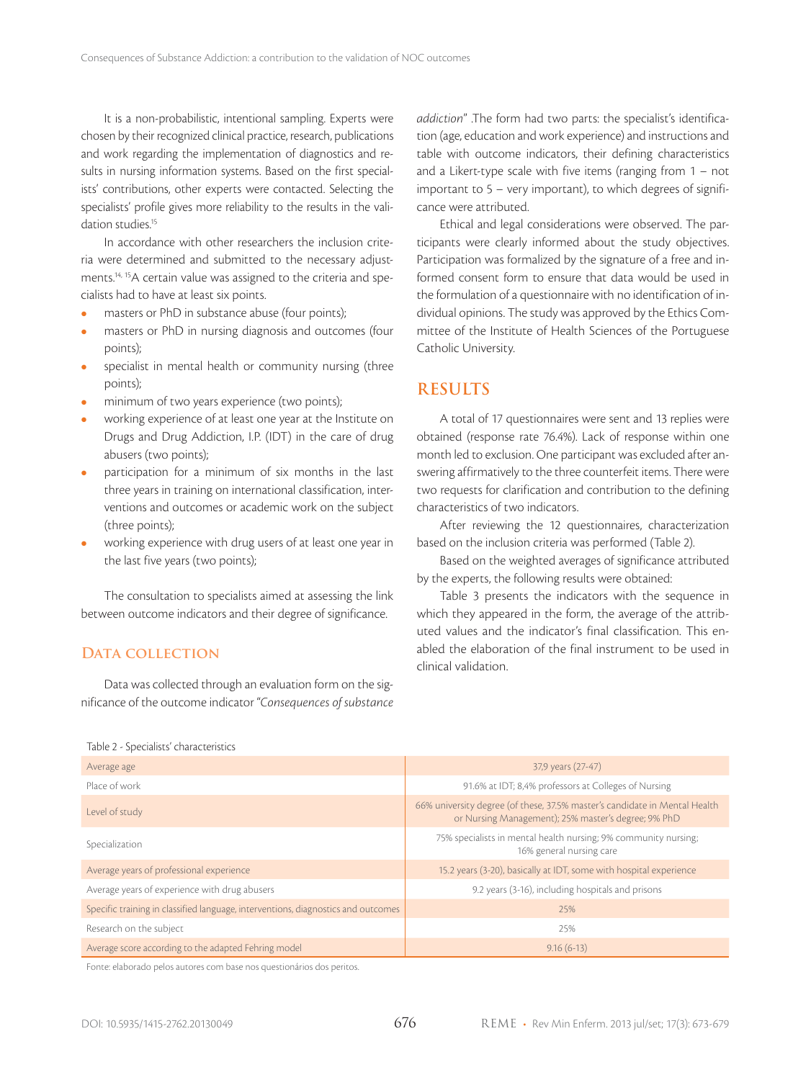It is a non-probabilistic, intentional sampling. Experts were chosen by their recognized clinical practice, research, publications and work regarding the implementation of diagnostics and results in nursing information systems. Based on the first specialists' contributions, other experts were contacted. Selecting the specialists' profile gives more reliability to the results in the validation studies.<sup>15</sup>

In accordance with other researchers the inclusion criteria were determined and submitted to the necessary adjustments.14, 15A certain value was assigned to the criteria and specialists had to have at least six points.

- **e** masters or PhD in substance abuse (four points);
- masters or PhD in nursing diagnosis and outcomes (four points);
- specialist in mental health or community nursing (three points);
- minimum of two years experience (two points);
- working experience of at least one year at the Institute on Drugs and Drug Addiction, I.P. (IDT) in the care of drug abusers (two points);
- participation for a minimum of six months in the last three years in training on international classification, interventions and outcomes or academic work on the subject (three points);
- working experience with drug users of at least one year in the last five years (two points);

The consultation to specialists aimed at assessing the link between outcome indicators and their degree of significance.

#### DATA COLLECTION

Table 2 - Specialists' characteristics

Data was collected through an evaluation form on the significance of the outcome indicator "*Consequences of substance*  *addiction*" .The form had two parts: the specialist's identification (age, education and work experience) and instructions and table with outcome indicators, their defining characteristics and a Likert-type scale with five items (ranging from 1 – not important to 5 – very important), to which degrees of significance were attributed.

Ethical and legal considerations were observed. The participants were clearly informed about the study objectives. Participation was formalized by the signature of a free and informed consent form to ensure that data would be used in the formulation of a questionnaire with no identification of individual opinions. The study was approved by the Ethics Committee of the Institute of Health Sciences of the Portuguese Catholic University.

#### **RESULTS**

A total of 17 questionnaires were sent and 13 replies were obtained (response rate 76.4%). Lack of response within one month led to exclusion. One participant was excluded after answering affirmatively to the three counterfeit items. There were two requests for clarification and contribution to the defining characteristics of two indicators.

After reviewing the 12 questionnaires, characterization based on the inclusion criteria was performed (Table 2).

Based on the weighted averages of significance attributed by the experts, the following results were obtained:

Table 3 presents the indicators with the sequence in which they appeared in the form, the average of the attributed values and the indicator's final classification. This enabled the elaboration of the final instrument to be used in clinical validation.

| Average age                                                                       | 37,9 years (27-47)                                                                                                                |  |  |  |  |  |  |
|-----------------------------------------------------------------------------------|-----------------------------------------------------------------------------------------------------------------------------------|--|--|--|--|--|--|
| Place of work                                                                     | 91.6% at IDT; 8,4% professors at Colleges of Nursing                                                                              |  |  |  |  |  |  |
| Level of study                                                                    | 66% university degree (of these, 37.5% master's candidate in Mental Health<br>or Nursing Management); 25% master's degree; 9% PhD |  |  |  |  |  |  |
| Specialization                                                                    | 75% specialists in mental health nursing; 9% community nursing;<br>16% general nursing care                                       |  |  |  |  |  |  |
| Average years of professional experience                                          | 15.2 years (3-20), basically at IDT, some with hospital experience                                                                |  |  |  |  |  |  |
| Average years of experience with drug abusers                                     | 9.2 years (3-16), including hospitals and prisons                                                                                 |  |  |  |  |  |  |
| Specific training in classified language, interventions, diagnostics and outcomes | 25%                                                                                                                               |  |  |  |  |  |  |
| Research on the subject                                                           | 25%                                                                                                                               |  |  |  |  |  |  |
| Average score according to the adapted Fehring model                              | $9.16(6-13)$                                                                                                                      |  |  |  |  |  |  |

Fonte: elaborado pelos autores com base nos questionários dos peritos.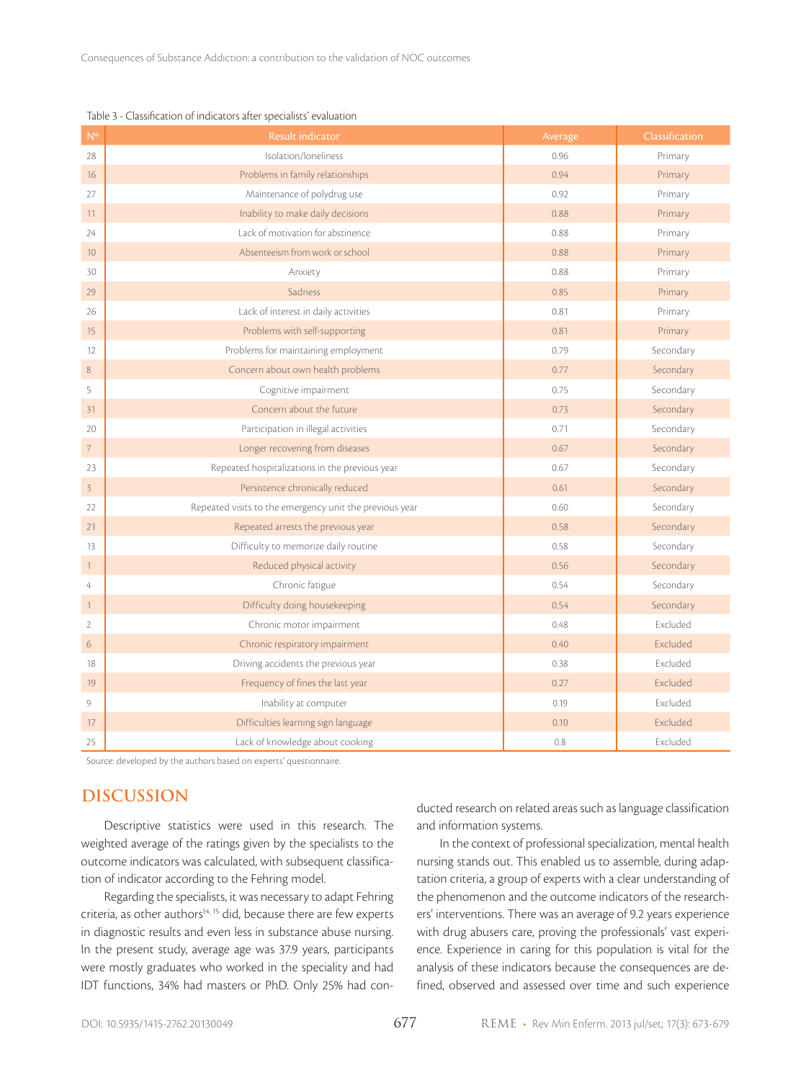| N <sup>o</sup> | <b>Result indicator</b>                                 | Average | Classification |
|----------------|---------------------------------------------------------|---------|----------------|
| 28             | Isolation/loneliness                                    | 0.96    | Primary        |
| 16             | Problems in family relationships                        | 0.94    | Primary        |
| 27             | Maintenance of polydrug use                             | 0.92    | Primary        |
| 11             | Inability to make daily decisions                       | 0.88    | Primary        |
| 24             | Lack of motivation for abstinence                       | 0.88    | Primary        |
| 10             | Absenteeism from work or school                         | 0.88    | Primary        |
| 30             | Anxiety                                                 | 0.88    | Primary        |
| 29             | Sadness                                                 | 0.85    | Primary        |
| 26             | Lack of interest in daily activities                    | 0.81    | Primary        |
| 15             | Problems with self-supporting                           | 0.81    | Primary        |
| 12             | Problems for maintaining employment                     | 0.79    | Secondary      |
| $\,8\,$        | Concern about own health problems                       | 0.77    | Secondary      |
| 5              | Cognitive impairment                                    | 0.75    | Secondary      |
| 31             | Concern about the future                                | 0.73    | Secondary      |
| 20             | Participation in illegal activities                     | 0.71    | Secondary      |
| $\overline{7}$ | Longer recovering from diseases                         | 0.67    | Secondary      |
| 23             | Repeated hospitalizations in the previous year          | 0.67    | Secondary      |
| $\overline{3}$ | Persistence chronically reduced                         | 0.61    | Secondary      |
| 22             | Repeated visits to the emergency unit the previous year | 0.60    | Secondary      |
| 21             | Repeated arrests the previous year                      | 0.58    | Secondary      |
| 13             | Difficulty to memorize daily routine                    | 0.58    | Secondary      |
| $\mathbf{1}$   | Reduced physical activity                               | 0.56    | Secondary      |
| $\overline{4}$ | Chronic fatigue                                         | 0.54    | Secondary      |
| $\mathbf{1}$   | Difficulty doing housekeeping                           | 0.54    | Secondary      |
| $\overline{2}$ | Chronic motor impairment                                | 0.48    | Excluded       |
| 6              | Chronic respiratory impairment                          | 0.40    | Excluded       |
| 18             | Driving accidents the previous year                     | 0.38    | Excluded       |
| 19             | Frequency of fines the last year                        | 0.27    | Excluded       |
| $\overline{9}$ | Inability at computer                                   | 0.19    | Excluded       |
| 17             | Difficulties learning sign language                     | 0.10    | Excluded       |
| 25             | Lack of knowledge about cooking                         | 0.8     | Excluded       |

#### Table 3 - Classification of indicators after specialists' evaluation

Source: developed by the authors based on experts' questionnaire.

#### **DISCUSSION**

Descriptive statistics were used in this research. The weighted average of the ratings given by the specialists to the outcome indicators was calculated, with subsequent classification of indicator according to the Fehring model.

Regarding the specialists, it was necessary to adapt Fehring criteria, as other authors<sup>14, 15</sup> did, because there are few experts in diagnostic results and even less in substance abuse nursing. In the present study, average age was 37.9 years, participants were mostly graduates who worked in the speciality and had IDT functions, 34% had masters or PhD. Only 25% had conducted research on related areas such as language classification and information systems.

In the context of professional specialization, mental health nursing stands out. This enabled us to assemble, during adaptation criteria, a group of experts with a clear understanding of the phenomenon and the outcome indicators of the researchers' interventions. There was an average of 9.2 years experience with drug abusers care, proving the professionals' vast experience. Experience in caring for this population is vital for the analysis of these indicators because the consequences are defined, observed and assessed over time and such experience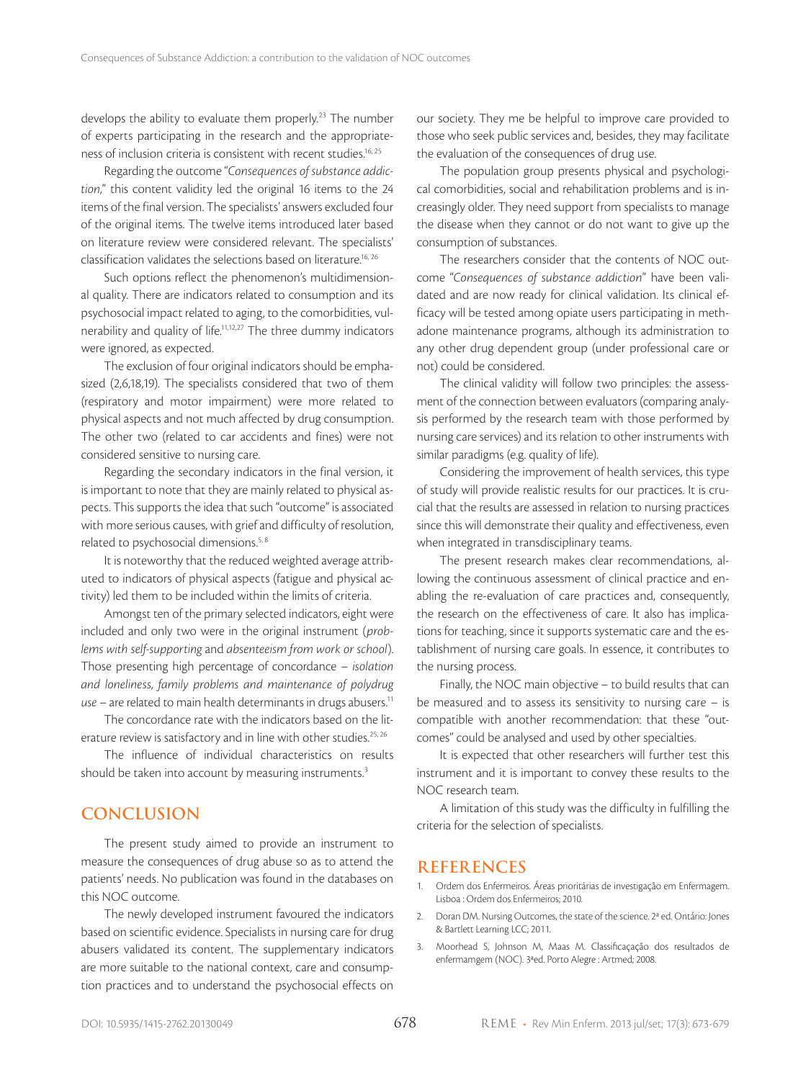develops the ability to evaluate them properly.<sup>23</sup> The number of experts participating in the research and the appropriateness of inclusion criteria is consistent with recent studies.<sup>16, 25</sup>

Regarding the outcome "*Consequences of substance addiction*," this content validity led the original 16 items to the 24 items of the final version. The specialists' answers excluded four of the original items. The twelve items introduced later based on literature review were considered relevant. The specialists' classification validates the selections based on literature.16, 26

Such options reflect the phenomenon's multidimensional quality. There are indicators related to consumption and its psychosocial impact related to aging, to the comorbidities, vulnerability and quality of life.11,12,27 The three dummy indicators were ignored, as expected.

The exclusion of four original indicators should be emphasized (2,6,18,19). The specialists considered that two of them (respiratory and motor impairment) were more related to physical aspects and not much affected by drug consumption. The other two (related to car accidents and fines) were not considered sensitive to nursing care.

Regarding the secondary indicators in the final version, it is important to note that they are mainly related to physical aspects. This supports the idea that such "outcome" is associated with more serious causes, with grief and difficulty of resolution, related to psychosocial dimensions.5, 8

It is noteworthy that the reduced weighted average attributed to indicators of physical aspects (fatigue and physical activity) led them to be included within the limits of criteria.

Amongst ten of the primary selected indicators, eight were included and only two were in the original instrument (*problems with self-supporting* and *absenteeism from work or school*). Those presenting high percentage of concordance – *isolation and loneliness, family problems and maintenance of polydrug use* – are related to main health determinants in drugs abusers.11

The concordance rate with the indicators based on the literature review is satisfactory and in line with other studies.<sup>25, 26</sup>

The influence of individual characteristics on results should be taken into account by measuring instruments.<sup>3</sup>

#### **CONCLUSION**

The present study aimed to provide an instrument to measure the consequences of drug abuse so as to attend the patients' needs. No publication was found in the databases on this NOC outcome.

The newly developed instrument favoured the indicators based on scientific evidence. Specialists in nursing care for drug abusers validated its content. The supplementary indicators are more suitable to the national context, care and consumption practices and to understand the psychosocial effects on

our society. They me be helpful to improve care provided to those who seek public services and, besides, they may facilitate the evaluation of the consequences of drug use.

The population group presents physical and psychological comorbidities, social and rehabilitation problems and is increasingly older. They need support from specialists to manage the disease when they cannot or do not want to give up the consumption of substances.

The researchers consider that the contents of NOC outcome "*Consequences of substance addiction*" have been validated and are now ready for clinical validation. Its clinical efficacy will be tested among opiate users participating in methadone maintenance programs, although its administration to any other drug dependent group (under professional care or not) could be considered.

The clinical validity will follow two principles: the assessment of the connection between evaluators (comparing analysis performed by the research team with those performed by nursing care services) and its relation to other instruments with similar paradigms (e.g. quality of life).

Considering the improvement of health services, this type of study will provide realistic results for our practices. It is crucial that the results are assessed in relation to nursing practices since this will demonstrate their quality and effectiveness, even when integrated in transdisciplinary teams.

The present research makes clear recommendations, allowing the continuous assessment of clinical practice and enabling the re-evaluation of care practices and, consequently, the research on the effectiveness of care. It also has implications for teaching, since it supports systematic care and the establishment of nursing care goals. In essence, it contributes to the nursing process.

Finally, the NOC main objective – to build results that can be measured and to assess its sensitivity to nursing care – is compatible with another recommendation: that these "outcomes" could be analysed and used by other specialties.

It is expected that other researchers will further test this instrument and it is important to convey these results to the NOC research team.

A limitation of this study was the difficulty in fulfilling the criteria for the selection of specialists.

#### **REFERENCES**

- 1. Ordem dos Enfermeiros. Áreas prioritárias de investigação em Enfermagem. Lisboa : Ordem dos Enfermeiros; 2010.
- 2. Doran DM. Nursing Outcomes, the state of the science. 2ª ed. Ontário: Jones & Bartlett Learning LCC; 2011.
- 3. Moorhead S, Johnson M, Maas M. Classificaçação dos resultados de enfermamgem (NOC). 3ªed. Porto Alegre : Artmed; 2008.